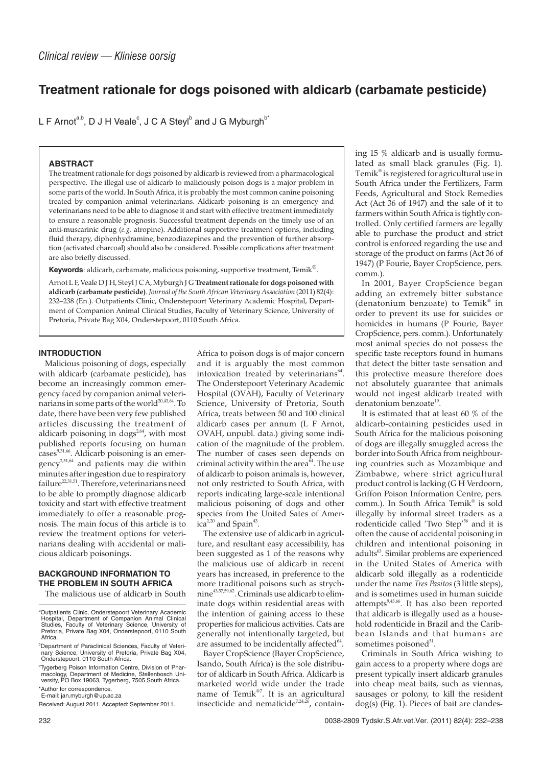# **Treatment rationale for dogs poisoned with aldicarb (carbamate pesticide)**

L F Arnot<sup>a,b</sup>, D J H Veale $^{\circ}$ , J C A Steyl $^{\mathsf{b}}$  and J G Myburgh $^{\mathsf{b}^{\ast}}$ 

# **ABSTRACT**

The treatment rationale for dogs poisoned by aldicarb is reviewed from a pharmacological perspective. The illegal use of aldicarb to maliciously poison dogs is a major problem in some parts of the world. In South Africa, it is probably the most common canine poisoning treated by companion animal veterinarians. Aldicarb poisoning is an emergency and veterinarians need to be able to diagnose it and start with effective treatment immediately to ensure a reasonable prognosis. Successful treatment depends on the timely use of an anti-muscarinic drug (*e.g.* atropine). Additional supportive treatment options, including fluid therapy, diphenhydramine, benzodiazepines and the prevention of further absorption (activated charcoal) should also be considered. Possible complications after treatment are also briefly discussed.

**Keywords**: aldicarb, carbamate, malicious poisoning, supportive treatment, Temik®.

Arnot L F, Veale D J H, Steyl J C A, Myburgh J G **Treatment rationale for dogs poisoned with aldicarb (carbamate pesticide)**. *Journal of the South African Veterinary Association* (2011) 82(4): 232–238 (En.). Outpatients Clinic, Onderstepoort Veterinary Academic Hospital, Department of Companion Animal Clinical Studies, Faculty of Veterinary Science, University of Pretoria, Private Bag X04, Onderstepoort, 0110 South Africa.

# **INTRODUCTION**

Malicious poisoning of dogs, especially with aldicarb (carbamate pesticide), has become an increasingly common emergency faced by companion animal veterinarians in some parts of the world<sup>20,43,64</sup>. To date, there have been very few published articles discussing the treatment of aldicarb poisoning in dogs<sup>2,64</sup>, with most published reports focusing on human cases<sup>9,31,66</sup>. Aldicarb poisoning is an emergency<sup>2,51,64</sup> and patients may die within minutes after ingestion due to respiratory  $failure^{22,31,51}$ . Therefore, veterinarians need to be able to promptly diagnose aldicarb toxicity and start with effective treatment immediately to offer a reasonable prognosis. The main focus of this article is to review the treatment options for veterinarians dealing with accidental or malicious aldicarb poisonings.

# **BACKGROUND INFORMATION TO THE PROBLEM IN SOUTH AFRICA**

The malicious use of aldicarb in South

Africa to poison dogs is of major concern and it is arguably the most common intoxication treated by veterinarians<sup>64</sup>. The Onderstepoort Veterinary Academic Hospital (OVAH), Faculty of Veterinary Science, University of Pretoria, South Africa, treats between 50 and 100 clinical aldicarb cases per annum (L F Arnot, OVAH, unpubl. data.) giving some indication of the magnitude of the problem. The number of cases seen depends on criminal activity within the area $\delta^4$ . The use of aldicarb to poison animals is, however, not only restricted to South Africa, with reports indicating large-scale intentional malicious poisoning of dogs and other species from the United Sates of Amer $ica^{2,20}$  and Spain<sup>43</sup>.

The extensive use of aldicarb in agriculture, and resultant easy accessibility, has been suggested as 1 of the reasons why the malicious use of aldicarb in recent years has increased, in preference to the more traditional poisons such as strychnine43,57,59,62. Criminals use aldicarb to eliminate dogs within residential areas with the intention of gaining access to these properties for malicious activities. Cats are generally not intentionally targeted, but are assumed to be incidentally affected<sup>64</sup>.

Bayer CropScience (Bayer CropScience, Isando, South Africa) is the sole distributor of aldicarb in South Africa. Aldicarb is marketed world wide under the trade name of Temik®7. It is an agricultural insecticide and nematicide<sup>7,24,26</sup>, containing 15 % aldicarb and is usually formulated as small black granules (Fig. 1). Temik® is registered for agricultural use in South Africa under the Fertilizers, Farm Feeds, Agricultural and Stock Remedies Act (Act 36 of 1947) and the sale of it to farmers within South Africa is tightly controlled. Only certified farmers are legally able to purchase the product and strict control is enforced regarding the use and storage of the product on farms (Act 36 of 1947) (P Fourie, Bayer CropScience, pers. comm.).

In 2001, Bayer CropScience began adding an extremely bitter substance (denatonium benzoate) to Temik® in order to prevent its use for suicides or homicides in humans (P Fourie, Bayer CropScience, pers. comm.). Unfortunately most animal species do not possess the specific taste receptors found in humans that detect the bitter taste sensation and this protective measure therefore does not absolutely guarantee that animals would not ingest aldicarb treated with denatonium benzoate<sup>19</sup>.

It is estimated that at least 60 % of the aldicarb-containing pesticides used in South Africa for the malicious poisoning of dogs are illegally smuggled across the border into South Africa from neighbouring countries such as Mozambique and Zimbabwe, where strict agricultural product control is lacking (G H Verdoorn, Griffon Poison Information Centre, pers. comm.). In South Africa Temik<sup>®</sup> is sold illegally by informal street traders as a rodenticide called 'Two Step'<sup>56</sup> and it is often the cause of accidental poisoning in children and intentional poisoning in adults<sup>63</sup>. Similar problems are experienced in the United States of America with aldicarb sold illegally as a rodenticide under the name *Tres Pasitos* (3 little steps), and is sometimes used in human suicide attempts $9,45,66$ . It has also been reported that aldicarb is illegally used as a household rodenticide in Brazil and the Caribbean Islands and that humans are sometimes poisoned<sup>51</sup>.

Criminals in South Africa wishing to gain access to a property where dogs are present typically insert aldicarb granules into cheap meat baits, such as viennas, sausages or polony, to kill the resident dog(s) (Fig. 1). Pieces of bait are clandes-

<sup>&</sup>lt;sup>a</sup>Outpatients Clinic, Onderstepoort Veterinary Academic Hospital, Department of Companion Animal Clinical Studies, Faculty of Veterinary Science, University of Pretoria, Private Bag X04, Onderstepoort, 0110 South Africa.

b Department of Paraclinical Sciences, Faculty of Veteri-nary Science, University of Pretoria, Private Bag X04, Onderstepoort, 0110 South Africa.

c Tygerberg Poison Information Centre, Division of Pharmacology, Department of Medicine, Stellenbosch Uni-versity, PO Box 19063, Tygerberg, 7505 South Africa.

<sup>\*</sup>Author for correspondence. E-mail: jan.myburgh@up.ac.za

Received: August 2011. Accepted: September 2011.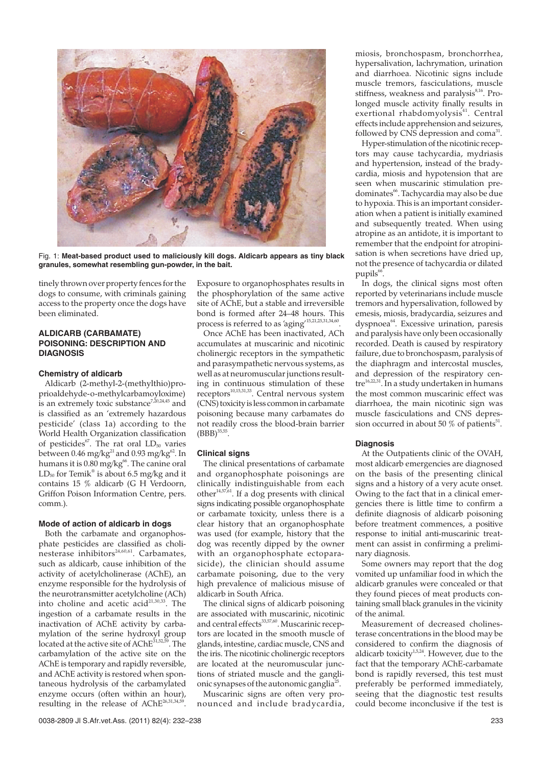

Fig. 1: **Meat-based product used to maliciously kill dogs. Aldicarb appears as tiny black granules, somewhat resembling gun-powder, in the bait.**

tinely thrown over property fences for the dogs to consume, with criminals gaining access to the property once the dogs have been eliminated.

# **ALDICARB (CARBAMATE) POISONING: DESCRIPTION AND DIAGNOSIS**

#### **Chemistry of aldicarb**

Aldicarb (2-methyl-2-(methylthio)proprioaldehyde-o-methylcarbamoyloxime) is an extremely toxic substance<sup>7,20,24,45</sup> and is classified as an 'extremely hazardous pesticide' (class 1a) according to the World Health Organization classification of pesticides<sup>67</sup>. The rat oral  $LD_{50}$  varies between 0.46 mg/kg<sup>21</sup> and 0.93 mg/kg<sup>62</sup>. In humans it is  $0.80$  mg/kg<sup>66</sup>. The canine oral  $LD_{50}$  for Temik<sup>®</sup> is about 6.5 mg/kg and it contains 15 % aldicarb (G H Verdoorn, Griffon Poison Information Centre, pers. comm.).

#### **Mode of action of aldicarb in dogs**

Both the carbamate and organophosphate pesticides are classified as cholinesterase inhibitors $^{24,60,61}$ . Carbamates, such as aldicarb, cause inhibition of the activity of acetylcholinerase (AChE), an enzyme responsible for the hydrolysis of the neurotransmitter acetylcholine (ACh) into choline and acetic  $acidi^{21,30,33}$ . The ingestion of a carbamate results in the inactivation of AChE activity by carbamylation of the serine hydroxyl group<br>located at the active site of AChE<sup>31,52,59</sup>. The located at the active site of  $\widehat{AChe}^{31,52}$ carbamylation of the active site on the AChE is temporary and rapidly reversible, and AChE activity is restored when spontaneous hydrolysis of the carbamylated enzyme occurs (often within an hour), resulting in the release of AChE<sup>26,31,34,59</sup>

Exposure to organophosphates results in the phosphorylation of the same active site of AChE, but a stable and irreversible bond is formed after 24–48 hours. This process is referred to as 'aging'15,21,25,31,34,60.

Once AChE has been inactivated, ACh accumulates at muscarinic and nicotinic cholinergic receptors in the sympathetic and parasympathetic nervous systems, as well as at neuromuscular junctions resulting in continuous stimulation of these receptors<sup>10,15,31,33</sup>. Central nervous system (CNS) toxicity is less common in carbamate poisoning because many carbamates do not readily cross the blood-brain barrier  $(BBB)^{35,55}$ .

## **Clinical signs**

The clinical presentations of carbamate and organophosphate poisonings are clinically indistinguishable from each other $14,57,61$ . If a dog presents with clinical signs indicating possible organophosphate or carbamate toxicity, unless there is a clear history that an organophosphate was used (for example, history that the dog was recently dipped by the owner with an organophosphate ectoparasicide), the clinician should assume carbamate poisoning, due to the very high prevalence of malicious misuse of aldicarb in South Africa.

The clinical signs of aldicarb poisoning are associated with muscarinic, nicotinic and central effects<sup>33,57,60</sup>. Muscarinic receptors are located in the smooth muscle of glands, intestine, cardiac muscle, CNS and the iris. The nicotinic cholinergic receptors are located at the neuromuscular junctions of striated muscle and the ganglionic synapses of the autonomic ganglia<sup>25</sup>.

Muscarinic signs are often very pronounced and include bradycardia,

miosis, bronchospasm, bronchorrhea, hypersalivation, lachrymation, urination and diarrhoea. Nicotinic signs include muscle tremors, fasciculations, muscle stiffness, weakness and paralysis<sup>8,16</sup>. Prolonged muscle activity finally results in exertional rhabdomyolysis<sup>41</sup>. Central effects include apprehension and seizures, followed by  $C\overline{\text{NS}}$  depression and coma<sup>31</sup>.

Hyper-stimulation of the nicotinic receptors may cause tachycardia, mydriasis and hypertension, instead of the bradycardia, miosis and hypotension that are seen when muscarinic stimulation predominates<sup>66</sup>. Tachycardia may also be due to hypoxia. This is an important consideration when a patient is initially examined and subsequently treated. When using atropine as an antidote, it is important to remember that the endpoint for atropinisation is when secretions have dried up, not the presence of tachycardia or dilated  $pupils<sup>66</sup>$ .

In dogs, the clinical signs most often reported by veterinarians include muscle tremors and hypersalivation, followed by emesis, miosis, bradycardia, seizures and dyspnoea<sup>64</sup>. Excessive urination, paresis and paralysis have only been occasionally recorded. Death is caused by respiratory failure, due to bronchospasm, paralysis of the diaphragm and intercostal muscles, and depression of the respiratory centre16,22,31. In a study undertaken in humans the most common muscarinic effect was diarrhoea, the main nicotinic sign was muscle fasciculations and CNS depression occurred in about 50  $%$  of patients<sup>51</sup>.

## **Diagnosis**

At the Outpatients clinic of the OVAH, most aldicarb emergencies are diagnosed on the basis of the presenting clinical signs and a history of a very acute onset. Owing to the fact that in a clinical emergencies there is little time to confirm a definite diagnosis of aldicarb poisoning before treatment commences, a positive response to initial anti-muscarinic treatment can assist in confirming a preliminary diagnosis.

Some owners may report that the dog vomited up unfamiliar food in which the aldicarb granules were concealed or that they found pieces of meat products containing small black granules in the vicinity of the animal.

Measurement of decreased cholinesterase concentrations in the blood may be considered to confirm the diagnosis of aldicarb toxicity $1.5,24$ . However, due to the fact that the temporary AChE-carbamate bond is rapidly reversed, this test must preferably be performed immediately, seeing that the diagnostic test results could become inconclusive if the test is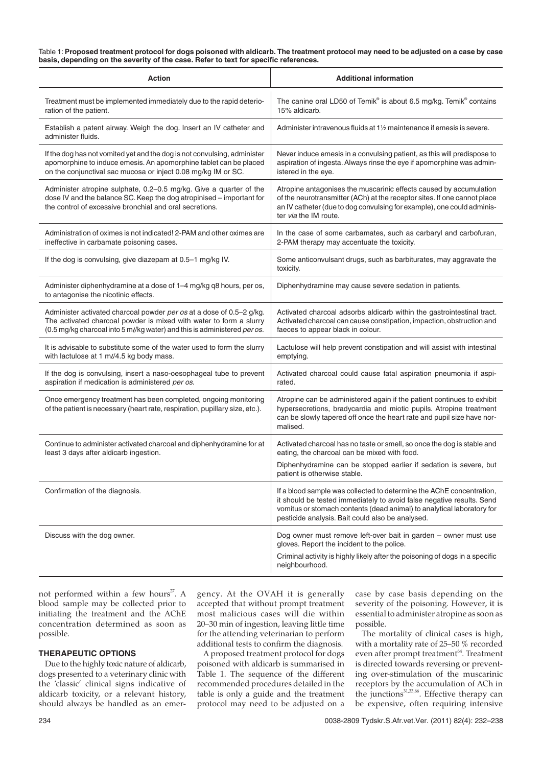#### Table 1: **Proposed treatment protocol for dogs poisoned with aldicarb. The treatment protocol may need to be adjusted on a case by case basis, depending on the severity of the case. Refer to text for specific references.**

| <b>Action</b>                                                                                                                                                                                                          | <b>Additional information</b>                                                                                                                                                                                                                                               |
|------------------------------------------------------------------------------------------------------------------------------------------------------------------------------------------------------------------------|-----------------------------------------------------------------------------------------------------------------------------------------------------------------------------------------------------------------------------------------------------------------------------|
| Treatment must be implemented immediately due to the rapid deterio-<br>ration of the patient.                                                                                                                          | The canine oral LD50 of Temik® is about 6.5 mg/kg. Temik® contains<br>15% aldicarb.                                                                                                                                                                                         |
| Establish a patent airway. Weigh the dog. Insert an IV catheter and<br>administer fluids.                                                                                                                              | Administer intravenous fluids at 1 <sup>1</sup> / <sub>2</sub> maintenance if emesis is severe.                                                                                                                                                                             |
| If the dog has not vomited yet and the dog is not convulsing, administer<br>apomorphine to induce emesis. An apomorphine tablet can be placed<br>on the conjunctival sac mucosa or inject 0.08 mg/kg IM or SC.         | Never induce emesis in a convulsing patient, as this will predispose to<br>aspiration of ingesta. Always rinse the eye if apomorphine was admin-<br>istered in the eve.                                                                                                     |
| Administer atropine sulphate, 0.2-0.5 mg/kg. Give a quarter of the<br>dose IV and the balance SC. Keep the dog atropinised - important for<br>the control of excessive bronchial and oral secretions.                  | Atropine antagonises the muscarinic effects caused by accumulation<br>of the neurotransmitter (ACh) at the receptor sites. If one cannot place<br>an IV catheter (due to dog convulsing for example), one could adminis-<br>ter via the IM route.                           |
| Administration of oximes is not indicated! 2-PAM and other oximes are<br>ineffective in carbamate poisoning cases.                                                                                                     | In the case of some carbamates, such as carbaryl and carbofuran,<br>2-PAM therapy may accentuate the toxicity.                                                                                                                                                              |
| If the dog is convulsing, give diazepam at 0.5-1 mg/kg IV.                                                                                                                                                             | Some anticonvulsant drugs, such as barbiturates, may aggravate the<br>toxicity.                                                                                                                                                                                             |
| Administer diphenhydramine at a dose of 1-4 mg/kg q8 hours, per os,<br>to antagonise the nicotinic effects.                                                                                                            | Diphenhydramine may cause severe sedation in patients.                                                                                                                                                                                                                      |
| Administer activated charcoal powder per os at a dose of 0.5–2 g/kg.<br>The activated charcoal powder is mixed with water to form a slurry<br>(0.5 mg/kg charcoal into 5 ml/kg water) and this is administered per os. | Activated charcoal adsorbs aldicarb within the gastrointestinal tract.<br>Activated charcoal can cause constipation, impaction, obstruction and<br>faeces to appear black in colour.                                                                                        |
| It is advisable to substitute some of the water used to form the slurry<br>with lactulose at 1 ml/4.5 kg body mass.                                                                                                    | Lactulose will help prevent constipation and will assist with intestinal<br>emptying.                                                                                                                                                                                       |
| If the dog is convulsing, insert a naso-oesophageal tube to prevent<br>aspiration if medication is administered per os.                                                                                                | Activated charcoal could cause fatal aspiration pneumonia if aspi-<br>rated.                                                                                                                                                                                                |
| Once emergency treatment has been completed, ongoing monitoring<br>of the patient is necessary (heart rate, respiration, pupillary size, etc.).                                                                        | Atropine can be administered again if the patient continues to exhibit<br>hypersecretions, bradycardia and miotic pupils. Atropine treatment<br>can be slowly tapered off once the heart rate and pupil size have nor-<br>malised.                                          |
| Continue to administer activated charcoal and diphenhydramine for at<br>least 3 days after aldicarb ingestion.                                                                                                         | Activated charcoal has no taste or smell, so once the dog is stable and<br>eating, the charcoal can be mixed with food.<br>Diphenhydramine can be stopped earlier if sedation is severe, but<br>patient is otherwise stable.                                                |
| Confirmation of the diagnosis.                                                                                                                                                                                         | If a blood sample was collected to determine the AChE concentration,<br>it should be tested immediately to avoid false negative results. Send<br>vomitus or stomach contents (dead animal) to analytical laboratory for<br>pesticide analysis. Bait could also be analysed. |
| Discuss with the dog owner.                                                                                                                                                                                            | Dog owner must remove left-over bait in garden – owner must use<br>gloves. Report the incident to the police.<br>Criminal activity is highly likely after the poisoning of dogs in a specific<br>neighbourhood.                                                             |

not performed within a few hours<sup>27</sup>. A blood sample may be collected prior to initiating the treatment and the AChE concentration determined as soon as possible.

## **THERAPEUTIC OPTIONS**

Due to the highly toxic nature of aldicarb, dogs presented to a veterinary clinic with the 'classic' clinical signs indicative of aldicarb toxicity, or a relevant history, should always be handled as an emergency. At the OVAH it is generally accepted that without prompt treatment most malicious cases will die within 20–30 min of ingestion, leaving little time for the attending veterinarian to perform additional tests to confirm the diagnosis.

A proposed treatment protocol for dogs poisoned with aldicarb is summarised in Table 1. The sequence of the different recommended procedures detailed in the table is only a guide and the treatment protocol may need to be adjusted on a case by case basis depending on the severity of the poisoning. However, it is essential to administer atropine as soon as possible.

The mortality of clinical cases is high, with a mortality rate of 25–50 % recorded even after prompt treatment<sup>64</sup>. Treatment is directed towards reversing or preventing over-stimulation of the muscarinic receptors by the accumulation of ACh in the junctions $31,33,66$ . Effective therapy can be expensive, often requiring intensive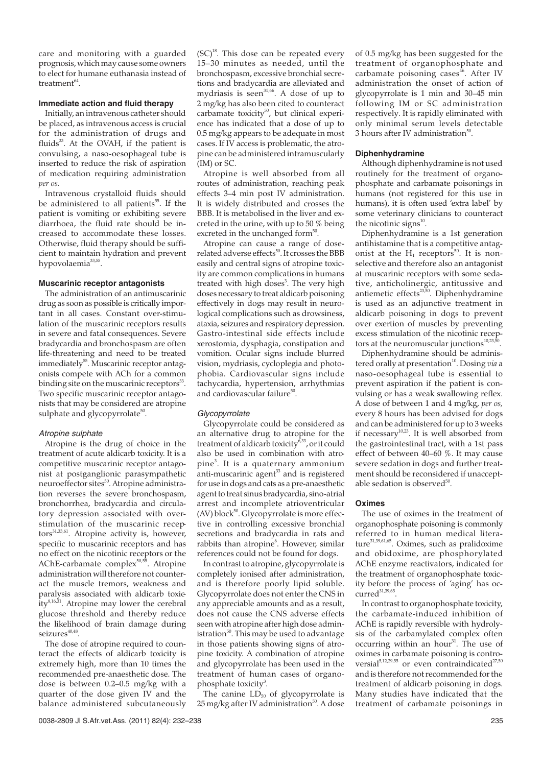care and monitoring with a guarded prognosis, which may cause some owners to elect for humane euthanasia instead of  $t$ reatment $^{64}$ 

# **Immediate action and fluid therapy**

Initially, an intravenous catheter should be placed, as intravenous access is crucial for the administration of drugs and fluids $33$ . At the OVAH, if the patient is convulsing, a naso-oesophageal tube is inserted to reduce the risk of aspiration of medication requiring administration *per os.*

Intravenous crystalloid fluids should be administered to all patients<sup>55</sup>. If the patient is vomiting or exhibiting severe diarrhoea, the fluid rate should be increased to accommodate these losses. Otherwise, fluid therapy should be sufficient to maintain hydration and prevent hypovolaemia<sup>33,55</sup>.

## **Muscarinic receptor antagonists**

The administration of an antimuscarinic drug as soon as possible is critically important in all cases. Constant over-stimulation of the muscarinic receptors results in severe and fatal consequences. Severe bradycardia and bronchospasm are often life-threatening and need to be treated immediately<sup>55</sup>. Muscarinic receptor antagonists compete with ACh for a common binding site on the muscarinic receptors<sup>33</sup>. Two specific muscarinic receptor antagonists that may be considered are atropine sulphate and glycopyrrolate<sup>50</sup>.

## Atropine sulphate

Atropine is the drug of choice in the treatment of acute aldicarb toxicity. It is a competitive muscarinic receptor antagonist at postganglionic parasympathetic neuroeffector sites<sup>50</sup>. Atropine administration reverses the severe bronchospasm, bronchorrhea, bradycardia and circulatory depression associated with overstimulation of the muscarinic receptors<sup>31,33,61</sup>. Atropine activity is, however, specific to muscarinic receptors and has no effect on the nicotinic receptors or the AChE-carbamate complex $50,55$ . Atropine administration will therefore not counteract the muscle tremors, weakness and paralysis associated with aldicarb toxic $ity<sup>8,16,31</sup>$ . Atropine may lower the cerebral glucose threshold and thereby reduce the likelihood of brain damage during  $seizures<sup>40,48</sup>$ .

The dose of atropine required to counteract the effects of aldicarb toxicity is extremely high, more than 10 times the recommended pre-anaesthetic dose. The dose is between 0.2–0.5 mg/kg with a quarter of the dose given IV and the balance administered subcutaneously

 $(SC)^{18}$ . This dose can be repeated every 15–30 minutes as needed, until the bronchospasm, excessive bronchial secretions and bradycardia are alleviated and mydriasis is seen<sup>31,66</sup>. A dose of up to 2 mg/kg has also been cited to counteract carbamate toxicity<sup>50</sup>, but clinical experience has indicated that a dose of up to 0.5 mg/kg appears to be adequate in most cases. If IV access is problematic, the atropine can be administered intramuscularly (IM) or SC.

Atropine is well absorbed from all routes of administration, reaching peak effects 3–4 min post IV administration. It is widely distributed and crosses the BBB. It is metabolised in the liver and excreted in the urine, with up to 50 % being excreted in the unchanged form $50$ .

Atropine can cause a range of doserelated adverse effects<sup>50</sup>. It crosses the BBB easily and central signs of atropine toxicity are common complications in humans treated with high doses<sup>3</sup>. The very high doses necessary to treat aldicarb poisoning effectively in dogs may result in neurological complications such as drowsiness, ataxia, seizures and respiratory depression. Gastro-intestinal side effects include xerostomia, dysphagia, constipation and vomition. Ocular signs include blurred vision, mydriasis, cycloplegia and photophobia. Cardiovascular signs include tachycardia, hypertension, arrhythmias and cardiovascular failure $50$ .

## Glycopyrrolate

Glycopyrrolate could be considered as an alternative drug to atropine for the treatment of aldicarb toxicity $6^{33}$ , or it could also be used in combination with atropine<sup>3</sup> . It is a quaternary ammonium anti-muscarinic agent<sup>33</sup> and is registered for use in dogs and cats as a pre-anaesthetic agent to treat sinus bradycardia, sino-atrial arrest and incomplete atrioventricular  $(AV)$  block<sup>50</sup>. Glycopyrrolate is more effective in controlling excessive bronchial secretions and bradycardia in rats and rabbits than atropine<sup>6</sup>. However, similar references could not be found for dogs.

In contrast to atropine, glycopyrrolate is completely ionised after administration, and is therefore poorly lipid soluble. Glycopyrrolate does not enter the CNS in any appreciable amounts and as a result, does not cause the CNS adverse effects seen with atropine after high dose administration $50$ . This may be used to advantage in those patients showing signs of atropine toxicity. A combination of atropine and glycopyrrolate has been used in the treatment of human cases of organophosphate toxicity<sup>3</sup>.

The canine  $\overrightarrow{LD}_{50}$  of glycopyrrolate is  $25 \,\mathrm{mg/kg}$  after IV administration<sup>50</sup>. A dose

of 0.5 mg/kg has been suggested for the treatment of organophosphate and  $carbanate$  poisoning  $\tilde{c}$ ases<sup>46</sup>. After IV administration the onset of action of glycopyrrolate is 1 min and 30–45 min following IM or SC administration respectively. It is rapidly eliminated with only minimal serum levels detectable 3 hours after IV administration $50$ .

#### **Diphenhydramine**

Although diphenhydramine is not used routinely for the treatment of organophosphate and carbamate poisonings in humans (not registered for this use in humans), it is often used 'extra label' by some veterinary clinicians to counteract the nicotinic signs $^{10}$ .

Diphenhydramine is a 1st generation antihistamine that is a competitive antagonist at the  $H_1$  receptors<sup>50</sup>. It is nonselective and therefore also an antagonist at muscarinic receptors with some sedative, anticholinergic, antitussive and antiemetic effects $^{23,50}$ . Diphenhydramine is used as an adjunctive treatment in aldicarb poisoning in dogs to prevent over exertion of muscles by preventing excess stimulation of the nicotinic receptors at the neuromuscular junctions<sup>10,23,5</sup>

Diphenhydramine should be administered orally at presentation<sup>10</sup>. Dosing *via* a naso-oesophageal tube is essential to prevent aspiration if the patient is convulsing or has a weak swallowing reflex. A dose of between 1 and 4 mg/kg, *per os,* every 8 hours has been advised for dogs and can be administered for up to 3 weeks if necessary<sup>10,23</sup>. It is well absorbed from the gastrointestinal tract, with a 1st pass effect of between 40–60 %. It may cause severe sedation in dogs and further treatment should be reconsidered if unacceptable sedation is observed $^{50}$ .

## **Oximes**

The use of oximes in the treatment of organophosphate poisoning is commonly referred to in human medical literature<sup>31,39,61,65</sup>. Oximes, such as pralidoxime and obidoxime, are phosphorylated AChE enzyme reactivators, indicated for the treatment of organophosphate toxicity before the process of 'aging' has oc $curred<sup>31,39,65</sup>$ .

In contrast to organophosphate toxicity, the carbamate-induced inhibition of AChE is rapidly reversible with hydrolysis of the carbamylated complex often occurring within an hour<sup>31</sup>. The use of oximes in carbamate poisoning is controversial<sup>5,12,29,55</sup> or even contraindicated<sup>27,50</sup> and is therefore not recommended for the treatment of aldicarb poisoning in dogs. Many studies have indicated that the treatment of carbamate poisonings in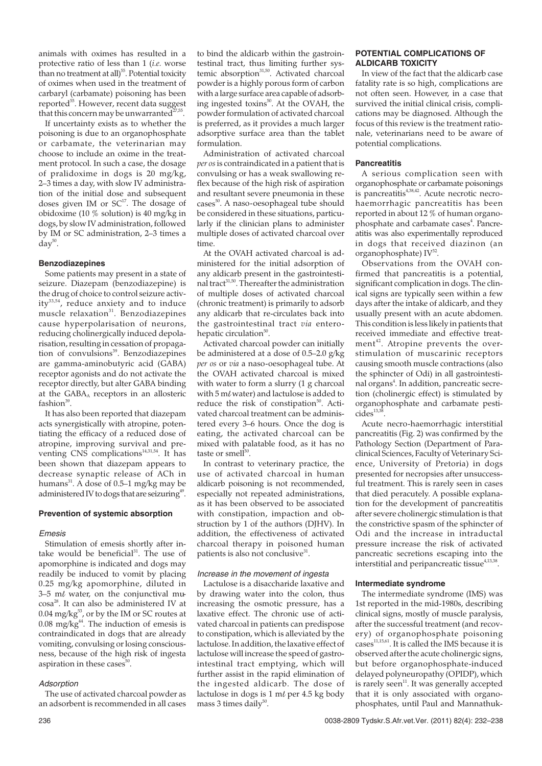animals with oximes has resulted in a protective ratio of less than 1 (*i.e.* worse than no treatment at all)<sup>55</sup>. Potential toxicity of oximes when used in the treatment of carbaryl (carbamate) poisoning has been reported<sup>55</sup>. However, recent data suggest that this concern may be unwarranted $^{27,55}$ .

If uncertainty exists as to whether the poisoning is due to an organophosphate or carbamate, the veterinarian may choose to include an oxime in the treatment protocol. In such a case, the dosage of pralidoxime in dogs is 20 mg/kg, 2–3 times a day, with slow IV administration of the initial dose and subsequent doses given IM or  $SC^{17}$ . The dosage of obidoxime (10 % solution) is 40 mg/kg in dogs, by slow IV administration, followed by IM or SC administration, 2–3 times a  $day^{50}$ .

#### **Benzodiazepines**

Some patients may present in a state of seizure. Diazepam (benzodiazepine) is the drug of choice to control seizure activity<sup>33,54</sup>, reduce anxiety and to induce muscle relaxation $31$ . Benzodiazepines cause hyperpolarisation of neurons, reducing cholinergically induced depolarisation, resulting in cessation of propagation of convulsions<sup>39</sup>. Benzodiazepines are gamma-aminobutyric acid (GABA) receptor agonists and do not activate the receptor directly, but alter GABA binding at the GABAA receptors in an allosteric fashion $39$ .

It has also been reported that diazepam acts synergistically with atropine, potentiating the efficacy of a reduced dose of atropine, improving survival and preventing CNS complications<sup>14,31,54</sup>. It has been shown that diazepam appears to decrease synaptic release of ACh in humans<sup>31</sup>. A dose of 0.5–1 mg/kg may be administered IV to dogs that are seizuring<sup>49</sup>.

## **Prevention of systemic absorption**

#### Emesis

Stimulation of emesis shortly after intake would be beneficial<sup>31</sup>. The use of apomorphine is indicated and dogs may readily be induced to vomit by placing 0.25 mg/kg apomorphine, diluted in 3–5  $m\ell$  water, on the conjunctival mucosa28. It can also be administered IV at  $0.04 \text{ mg/kg}^{53}$ , or by the IM or SC routes at  $0.08$  mg/kg<sup>44</sup>. The induction of emesis is contraindicated in dogs that are already vomiting, convulsing or losing consciousness, because of the high risk of ingesta aspiration in these cases $50$ .

#### Adsorption

The use of activated charcoal powder as an adsorbent is recommended in all cases to bind the aldicarb within the gastrointestinal tract, thus limiting further systemic absorption<sup>31,50</sup>. Activated charcoal powder is a highly porous form of carbon with a large surface area capable of adsorbing ingested toxins<sup>50</sup>. At the OVAH, the powder formulation of activated charcoal is preferred, as it provides a much larger adsorptive surface area than the tablet formulation.

Administration of activated charcoal *per os*is contraindicated in a patient that is convulsing or has a weak swallowing reflex because of the high risk of aspiration and resultant severe pneumonia in these cases<sup>50</sup>. A naso-oesophageal tube should be considered in these situations, particularly if the clinician plans to administer multiple doses of activated charcoal over time.

At the OVAH activated charcoal is administered for the initial adsorption of any aldicarb present in the gastrointestinal tract<sup>31,50</sup>. Thereafter the administration of multiple doses of activated charcoal (chronic treatment) is primarily to adsorb any aldicarb that re-circulates back into the gastrointestinal tract *via* enterohepatic circulation<sup>50</sup>.

Activated charcoal powder can initially be administered at a dose of 0.5–2.0 g/kg *per os* or *via* a naso-oesophageal tube. At the OVAH activated charcoal is mixed with water to form a slurry (1 g charcoal with 5 m $\ell$  water) and lactulose is added to reduce the risk of constipation<sup>50</sup>. Activated charcoal treatment can be administered every 3–6 hours. Once the dog is eating, the activated charcoal can be mixed with palatable food, as it has no taste or smel $\hat{I}^{50}$ .

In contrast to veterinary practice, the use of activated charcoal in human aldicarb poisoning is not recommended, especially not repeated administrations, as it has been observed to be associated with constipation, impaction and obstruction by 1 of the authors (DIHV). In addition, the effectiveness of activated charcoal therapy in poisoned human patients is also not conclusive $31$ .

#### Increase in the movement of ingesta

Lactulose is a disaccharide laxative and by drawing water into the colon, thus increasing the osmotic pressure, has a laxative effect. The chronic use of activated charcoal in patients can predispose to constipation, which is alleviated by the lactulose. In addition, the laxative effect of lactulose will increase the speed of gastrointestinal tract emptying, which will further assist in the rapid elimination of the ingested aldicarb. The dose of lactulose in dogs is 1 m $\ell$  per 4.5 kg body mass 3 times daily $50$ .

## **POTENTIAL COMPLICATIONS OF ALDICARB TOXICITY**

In view of the fact that the aldicarb case fatality rate is so high, complications are not often seen. However, in a case that survived the initial clinical crisis, complications may be diagnosed. Although the focus of this review is the treatment rationale, veterinarians need to be aware of potential complications.

## **Pancreatitis**

A serious complication seen with organophosphate or carbamate poisonings is pancreatitis<sup>4,38,42</sup>. Acute necrotic necrohaemorrhagic pancreatitis has been reported in about 12 % of human organophosphate and carbamate cases<sup>4</sup>. Pancreatitis was also experimentally reproduced in dogs that received diazinon (an organophosphate)  $IV^{32}$ .

Observations from the OVAH confirmed that pancreatitis is a potential, significant complication in dogs. The clinical signs are typically seen within a few days after the intake of aldicarb, and they usually present with an acute abdomen. This condition is less likely in patients that received immediate and effective treatment<sup>42</sup>. Atropine prevents the overstimulation of muscarinic receptors causing smooth muscle contractions (also the sphincter of Odi) in all gastrointestinal organs<sup>4</sup>. In addition, pancreatic secretion (cholinergic effect) is stimulated by organophosphate and carbamate pesti $cides<sup>13,38</sup>$ 

Acute necro-haemorrhagic interstitial pancreatitis (Fig. 2) was confirmed by the Pathology Section (Department of Paraclinical Sciences, Faculty of Veterinary Science, University of Pretoria) in dogs presented for necropsies after unsuccessful treatment. This is rarely seen in cases that died peracutely. A possible explanation for the development of pancreatitis after severe cholinergic stimulation is that the constrictive spasm of the sphincter of Odi and the increase in intraductal pressure increase the risk of activated pancreatic secretions escaping into the interstitial and peripancreatic tissue<sup>4,13,38</sup>.

#### **Intermediate syndrome**

The intermediate syndrome (IMS) was 1st reported in the mid-1980s, describing clinical signs, mostly of muscle paralysis, after the successful treatment (and recovery) of organophosphate poisoning cases $^{11,15,61}$ . It is called the IMS because it is observed after the acute cholinergic signs, but before organophosphate-induced delayed polyneuropathy (OPIDP), which is rarely seen $^{11}$ . It was generally accepted that it is only associated with organophosphates, until Paul and Mannathuk-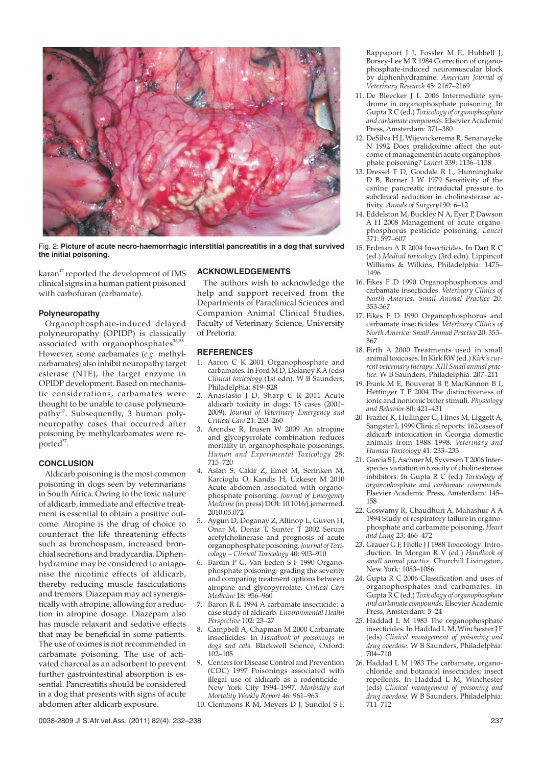

Fig. 2: **Picture of acute necro-haemorrhagic interstitial pancreatitis in a dog that survived the initial poisoning.**

karan<sup>47</sup> reported the development of IMS clinical signs in a human patient poisoned with carbofuran (carbamate).

## **Polyneuropathy**

Organophosphate-induced delayed polyneuropathy (OPIDP) is classically associated with organophosphates<sup>36,58</sup> However, some carbamates (*e.g.* methylcarbamates) also inhibit neuropathy target esterase (NTE), the target enzyme in OPIDP development. Based on mechanistic considerations, carbamates were thought to be unable to cause polyneuropathy<sup>37</sup>. Subsequently, 3 human polyneuropathy cases that occurred after poisoning by methylcarbamates were reported<sup>37</sup>.

# **CONCLUSION**

Aldicarb poisoning is the most common poisoning in dogs seen by veterinarians in South Africa. Owing to the toxic nature of aldicarb, immediate and effective treatment is essential to obtain a positive outcome. Atropine is the drug of choice to counteract the life threatening effects such as bronchospasm, increased bronchial secretions and bradycardia. Diphenhydramine may be considered to antagonise the nicotinic effects of aldicarb, thereby reducing muscle fasciculations and tremors. Diazepam may act synergistically with atropine, allowing for a reduction in atropine dosage. Diazepam also has muscle relaxant and sedative effects that may be beneficial in some patients. The use of oximes is not recommended in carbamate poisoning. The use of activated charcoal as an adsorbent to prevent further gastrointestinal absorption is essential. Pancreatitis should be considered in a dog that presents with signs of acute abdomen after aldicarb exposure.

## **ACKNOWLEDGEMENTS**

The authors wish to acknowledge the help and support received from the Departments of Paraclinical Sciences and Companion Animal Clinical Studies, Faculty of Veterinary Science, University of Pretoria.

#### **REFERENCES**

- 1. Aaron C K 2001 Organophosphate and carbamates. In Ford  $\overline{MD}$ , Delaney K A (eds) *Clinical toxicology* (1st edn). W B Saunders, Philadelphia: 819–828
- 2. Anastasio J D, Sharp C R 2011 Acute aldicarb toxicity in dogs: 15 cases (2001– 2009). *Journal of Veterinary Emergency and Critical Care* 21: 253–260
- 3. Arendse R, Irusen W 2009 An atropine and glycopyrrolate combination reduces mortality in organophosphate poisonings. *Human and Experimental Toxicology* 28: 715–720
- 4. Aslan S, Cakir Z, Emet M, Serinken M, Karcioglu O, Kandis H, Uzkeser M 2010 Acute abdomen associated with organophosphate poisoning. *Journal of Emergency Medicine*(in press) DOI: 10.1016/j.jemermed. 2010.05.072
- 5. Aygun D, Doganay Z, Altinop L, Guven H, Onar M, Deniz T, Sunter T 2002 Serum acetylcholinerase and prognosis of acute organophosphate poisoning.*Journal of Toxicology – Clinical Toxicology* 40: 903–910
- Bardin P G, Van Eeden S F 1990 Organophosphate poisoning: grading the severity and comparing treatment options between atropine and glycopyrrolate. *Critical Care Medicine* 18: 956–960
- 7. Baron R L 1994 A carbamate insecticide: a case study of aldicarb. *Environmental Health Perspective* 102: 23–27
- 8. Campbell A, Chapman M 2000 Carbamate insecticides. In *Handbook of poisonings in dogs and cats.* Blackwell Science, Oxford: 102–105
- 9. Centers for Disease Control and Prevention (CDC) 1997 Poisonings associated with illegal use of aldicarb as a rodenticide – New York City 1994–1997. *Morbidity and Mortality Weekly Report* 46: 961–963
- 10. Clemmons R M, Meyers D J, Sundlof S F,

Rappaport J J, Fossler M E, Hubbell J, Borsey-Lee M R 1984 Correction of organophosphate-induced neuromuscular block by diphenhydramine. *American Journal of Veterinary Research* 45: 2167–2169

- 11. De Bleecker J L 2006 Intermediate syndrome in organophosphate poisoning. In Gupta R C (ed.) *Toxicology of organophosphate and carbamate compounds.* Elsevier Academic Press, Amsterdam: 371–380
- 12. DeSilva H J, Wijewickerema R, Senanayeke N 1992 Does pralidoxime affect the outcome of management in acute organophosphate poisoning? *Lancet* 339: 1136–1138
- 13. Dressel T D, Goodale R L, Hunninghake D B, Borner J W 1979 Sensitivity of the canine pancreatic intraductal pressure to subclinical reduction in cholinesterase activity. *Annals of Surgery*190: 6–12
- 14. Eddelston M, Buckley N A, Eyer P, Dawson A H 2008 Management of acute organophosphorus pesticide poisoning. *Lancet* 371: 597–607
- 15. Erdman A R 2004 Insecticides. In Dart R C (ed.) *Medical toxicology* (3rd edn). Lippincot Williams & Wilkins, Philadelphia: 1475– 1496
- 16. Fikes F D 1990 Organophosphorous and carbamate insecticides. *Veterinary Clinics of North America: Small Animal Practice* 20: 353-367
- 17. Fikes F D 1990 Organophosphorus and carbamate insecticides. *Veterinary Clinics of North America: Small Animal Practice* 20: 353– 367
- 18. Firth A 2000 Treatments used in small animal toxicoses. In Kirk RW (ed.)*Kirk's current veterinary therapy: XIII Small animal practice.* W B Saunders, Philadelphia: 207–211
- 19. Frank M E, Bouverat B P, MacKinnon B I, Hettinger T P 2004 The distinctiveness of ionic and nonionic bitter stimuli. *Physiology and Behavior* 80: 421–431
- 20 Frazier K, Hullinger G, Hines M, Liggett A, Sangster L 1999 Clinical reports: 162 cases of aldicarb intoxication in Georgia domestic animals from 1988–1998. *Veterinary and Human Toxicology* 41: 233–235
- 21. Garcia S J, Aschner M, Syversen T 2006 Interspecies variation in toxicity of cholinesterase inhibitors. In Gupta R C (ed.) *Toxicology of organophosphate and carbamate compounds*. Elsevier Academic Press, Amsterdam: 145– 158
- 22. Goswamy R, Chaudhuri A, Mahashur A A 1994 Study of respiratory failure in organophosphate and carbamate poisoning. *Heart and Lung* 23: 466–472
- 23. Grauer G F, Hjelle J J 1988 Toxicology: Introduction. In Morgan R V (ed.) *Handbook of small animal practice.* Churchill Livingston, New York: 1083–1086
- 24. Gupta R C 2006 Classification and uses of organophosphates and carbamates. In Gupta R C (ed.) *Toxicology of organophosphate and carbamate compounds*. Elsevier Academic Press, Amsterdam: 5–24
- 25. Haddad L M 1983 The organophosphate insecticides. In Haddad L M, Winchester J F (eds) *Clinical management of poisoning and drug overdose.* W B Saunders, Philadelphia: 704–710
- 26. Haddad L M 1983 The carbamate, organochloride and botanical insecticides; insect repellents. In Haddad L M, Winchester (eds) *Clinical management of poisoning and drug overdose.* W B Saunders, Philadelphia: 711–712